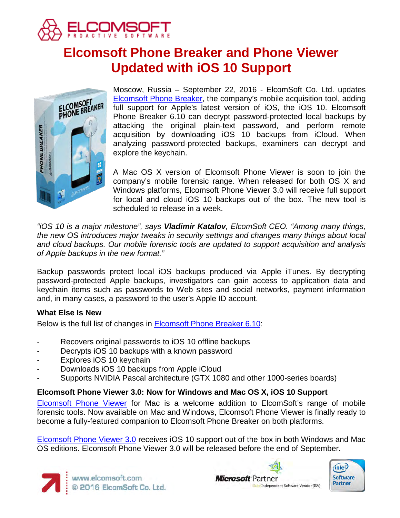

# **Elcomsoft Phone Breaker and Phone Viewer Updated with iOS 10 Support**



Moscow, Russia – September 22, 2016 - ElcomSoft Co. Ltd. updates [Elcomsoft Phone Breaker,](https://www.elcomsoft.com/eppb.html) the company's mobile acquisition tool, adding full support for Apple's latest version of iOS, the iOS 10. Elcomsoft Phone Breaker 6.10 can decrypt password-protected local backups by attacking the original plain-text password, and perform remote acquisition by downloading iOS 10 backups from iCloud. When analyzing password-protected backups, examiners can decrypt and explore the keychain.

A Mac OS X version of Elcomsoft Phone Viewer is soon to join the company's mobile forensic range. When released for both OS X and Windows platforms, Elcomsoft Phone Viewer 3.0 will receive full support for local and cloud iOS 10 backups out of the box. The new tool is scheduled to release in a week.

*"iOS 10 is a major milestone", says Vladimir Katalov, ElcomSoft CEO. "Among many things, the new OS introduces major tweaks in security settings and changes many things about local and cloud backups. Our mobile forensic tools are updated to support acquisition and analysis of Apple backups in the new format."*

Backup passwords protect local iOS backups produced via Apple iTunes. By decrypting password-protected Apple backups, investigators can gain access to application data and keychain items such as passwords to Web sites and social networks, payment information and, in many cases, a password to the user's Apple ID account.

# **What Else Is New**

Below is the full list of changes in [Elcomsoft Phone Breaker 6.10:](https://www.elcomsoft.com/eppb.html)

- Recovers original passwords to iOS 10 offline backups
- Decrypts iOS 10 backups with a known password
- Explores iOS 10 keychain
- Downloads iOS 10 backups from Apple iCloud
- Supports NVIDIA Pascal architecture (GTX 1080 and other 1000-series boards)

# **Elcomsoft Phone Viewer 3.0: Now for Windows and Mac OS X, iOS 10 Support**

[Elcomsoft Phone Viewer](https://www.elcomsoft.com/epv.html) for Mac is a welcome addition to ElcomSoft's range of mobile forensic tools. Now available on Mac and Windows, Elcomsoft Phone Viewer is finally ready to become a fully-featured companion to Elcomsoft Phone Breaker on both platforms.

[Elcomsoft Phone Viewer 3.0](https://www.elcomsoft.com/epv.html) receives iOS 10 support out of the box in both Windows and Mac OS editions. Elcomsoft Phone Viewer 3.0 will be released before the end of September.





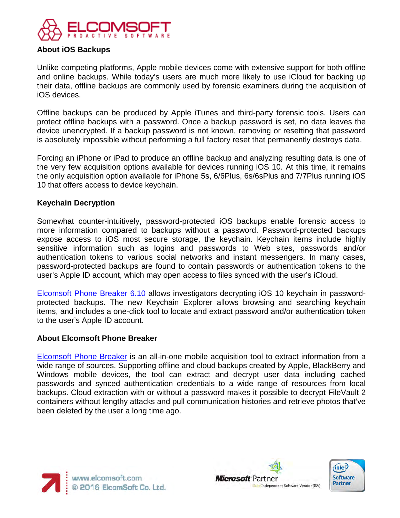

# **About iOS Backups**

Unlike competing platforms, Apple mobile devices come with extensive support for both offline and online backups. While today's users are much more likely to use iCloud for backing up their data, offline backups are commonly used by forensic examiners during the acquisition of iOS devices.

Offline backups can be produced by Apple iTunes and third-party forensic tools. Users can protect offline backups with a password. Once a backup password is set, no data leaves the device unencrypted. If a backup password is not known, removing or resetting that password is absolutely impossible without performing a full factory reset that permanently destroys data.

Forcing an iPhone or iPad to produce an offline backup and analyzing resulting data is one of the very few acquisition options available for devices running iOS 10. At this time, it remains the only acquisition option available for iPhone 5s, 6/6Plus, 6s/6sPlus and 7/7Plus running iOS 10 that offers access to device keychain.

## **Keychain Decryption**

Somewhat counter-intuitively, password-protected iOS backups enable forensic access to more information compared to backups without a password. Password-protected backups expose access to iOS most secure storage, the keychain. Keychain items include highly sensitive information such as logins and passwords to Web sites, passwords and/or authentication tokens to various social networks and instant messengers. In many cases, password-protected backups are found to contain passwords or authentication tokens to the user's Apple ID account, which may open access to files synced with the user's iCloud.

[Elcomsoft Phone Breaker 6.10](https://www.elcomsoft.com/eppb.html) allows investigators decrypting iOS 10 keychain in passwordprotected backups. The new Keychain Explorer allows browsing and searching keychain items, and includes a one-click tool to locate and extract password and/or authentication token to the user's Apple ID account.

#### **About Elcomsoft Phone Breaker**

[Elcomsoft Phone Breaker](https://www.elcomsoft.com/eppb.html) is an all-in-one mobile acquisition tool to extract information from a wide range of sources. Supporting offline and cloud backups created by Apple, BlackBerry and Windows mobile devices, the tool can extract and decrypt user data including cached passwords and synced authentication credentials to a wide range of resources from local backups. Cloud extraction with or without a password makes it possible to decrypt FileVault 2 containers without lengthy attacks and pull communication histories and retrieve photos that've been deleted by the user a long time ago.